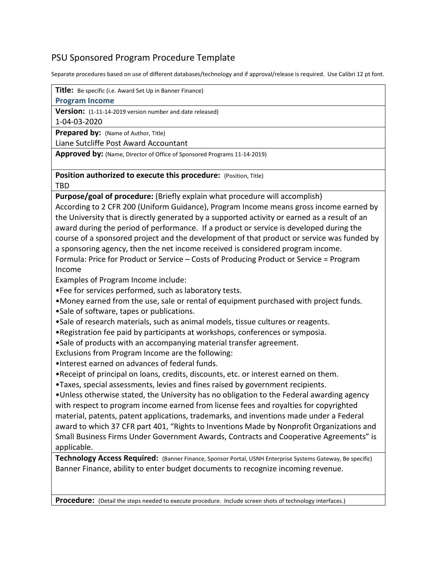## PSU Sponsored Program Procedure Template

Separate procedures based on use of different databases/technology and if approval/release is required. Use Calibri 12 pt font.

**Title:** Be specific (i.e. Award Set Up in Banner Finance)

## **Program Income**

**Version:** (1-11-14-2019 version number and date released)

1-04-03-2020

**Prepared by:** (Name of Author, Title)

Liane Sutcliffe Post Award Accountant

**Approved by:** (Name, Director of Office of Sponsored Programs 11-14-2019)

**Position authorized to execute this procedure:** (Position, Title)

TBD

**Purpose/goal of procedure:** (Briefly explain what procedure will accomplish) According to 2 CFR 200 (Uniform Guidance), Program Income means gross income earned by the University that is directly generated by a supported activity or earned as a result of an award during the period of performance. If a product or service is developed during the course of a sponsored project and the development of that product or service was funded by a sponsoring agency, then the net income received is considered program income. Formula: Price for Product or Service – Costs of Producing Product or Service = Program

Income

Examples of Program Income include:

•Fee for services performed, such as laboratory tests.

- •Money earned from the use, sale or rental of equipment purchased with project funds.
- •Sale of software, tapes or publications.
- •Sale of research materials, such as animal models, tissue cultures or reagents.
- •Registration fee paid by participants at workshops, conferences or symposia.
- •Sale of products with an accompanying material transfer agreement.

Exclusions from Program Income are the following:

- •Interest earned on advances of federal funds.
- •Receipt of principal on loans, credits, discounts, etc. or interest earned on them.
- •Taxes, special assessments, levies and fines raised by government recipients.

•Unless otherwise stated, the University has no obligation to the Federal awarding agency with respect to program income earned from license fees and royalties for copyrighted material, patents, patent applications, trademarks, and inventions made under a Federal award to which 37 CFR part 401, "Rights to Inventions Made by Nonprofit Organizations and Small Business Firms Under Government Awards, Contracts and Cooperative Agreements" is applicable.

**Technology Access Required:** (Banner Finance, Sponsor Portal, USNH Enterprise Systems Gateway, Be specific) Banner Finance, ability to enter budget documents to recognize incoming revenue.

**Procedure:** (Detail the steps needed to execute procedure. Include screen shots of technology interfaces.)